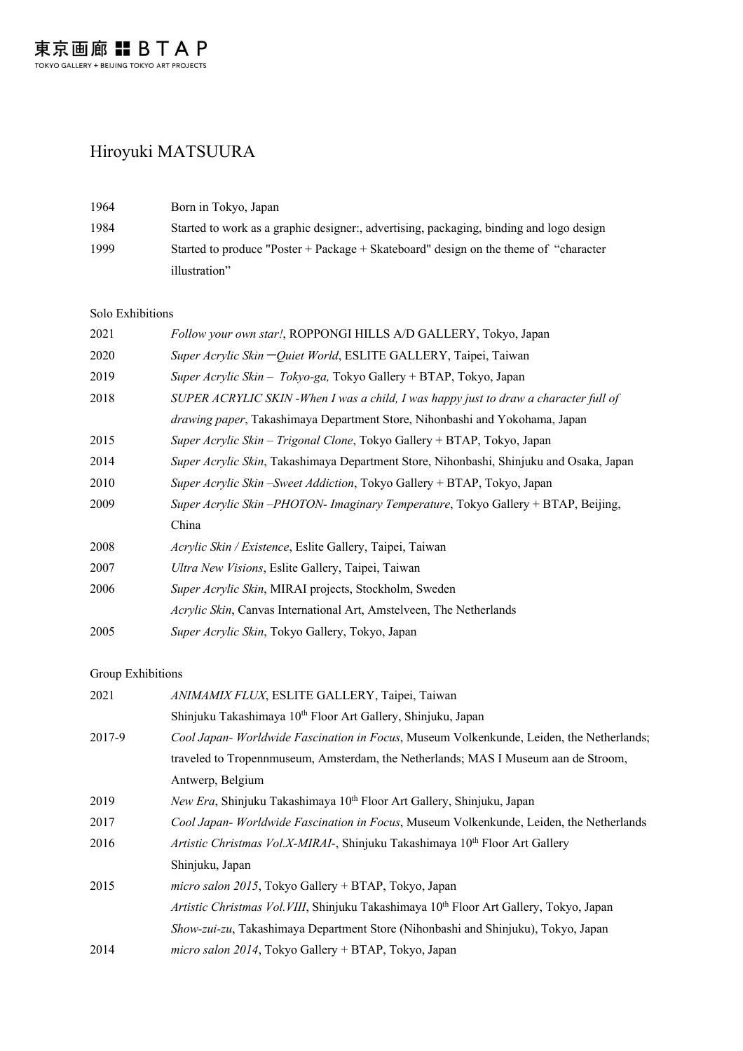## Hiroyuki MATSUURA

| 1964 | Born in Tokyo, Japan                                                                   |
|------|----------------------------------------------------------------------------------------|
| 1984 | Started to work as a graphic designer; advertising, packaging, binding and logo design |
| 1999 | Started to produce "Poster + Package + Skateboard" design on the theme of "character"  |
|      | illustration"                                                                          |

## Solo Exhibitions

| 2021 | Follow your own star!, ROPPONGI HILLS A/D GALLERY, Tokyo, Japan                         |
|------|-----------------------------------------------------------------------------------------|
| 2020 | Super Acrylic Skin – Quiet World, ESLITE GALLERY, Taipei, Taiwan                        |
| 2019 | Super Acrylic Skin - Tokyo-ga, Tokyo Gallery + BTAP, Tokyo, Japan                       |
| 2018 | SUPER ACRYLIC SKIN - When I was a child, I was happy just to draw a character full of   |
|      | drawing paper, Takashimaya Department Store, Nihonbashi and Yokohama, Japan             |
| 2015 | Super Acrylic Skin – Trigonal Clone, Tokyo Gallery + BTAP, Tokyo, Japan                 |
| 2014 | Super Acrylic Skin, Takashimaya Department Store, Nihonbashi, Shinjuku and Osaka, Japan |
| 2010 | Super Acrylic Skin – Sweet Addiction, Tokyo Gallery + BTAP, Tokyo, Japan                |
| 2009 | Super Acrylic Skin – PHOTON- Imaginary Temperature, Tokyo Gallery + BTAP, Beijing,      |
|      | China                                                                                   |
| 2008 | Acrylic Skin / Existence, Eslite Gallery, Taipei, Taiwan                                |
| 2007 | Ultra New Visions, Eslite Gallery, Taipei, Taiwan                                       |
| 2006 | Super Acrylic Skin, MIRAI projects, Stockholm, Sweden                                   |
|      | Acrylic Skin, Canvas International Art, Amstelveen, The Netherlands                     |
| 2005 | Super Acrylic Skin, Tokyo Gallery, Tokyo, Japan                                         |
|      |                                                                                         |

## Group Exhibitions

| 2021   | ANIMAMIX FLUX, ESLITE GALLERY, Taipei, Taiwan                                                       |
|--------|-----------------------------------------------------------------------------------------------------|
|        | Shinjuku Takashimaya 10 <sup>th</sup> Floor Art Gallery, Shinjuku, Japan                            |
| 2017-9 | Cool Japan- Worldwide Fascination in Focus, Museum Volkenkunde, Leiden, the Netherlands;            |
|        | traveled to Tropennmuseum, Amsterdam, the Netherlands; MAS I Museum aan de Stroom,                  |
|        | Antwerp, Belgium                                                                                    |
| 2019   | New Era, Shinjuku Takashimaya 10 <sup>th</sup> Floor Art Gallery, Shinjuku, Japan                   |
| 2017   | Cool Japan- Worldwide Fascination in Focus, Museum Volkenkunde, Leiden, the Netherlands             |
| 2016   | Artistic Christmas Vol.X-MIRAI-, Shinjuku Takashimaya 10 <sup>th</sup> Floor Art Gallery            |
|        | Shinjuku, Japan                                                                                     |
| 2015   | micro salon 2015, Tokyo Gallery + BTAP, Tokyo, Japan                                                |
|        | Artistic Christmas Vol. VIII, Shinjuku Takashimaya 10 <sup>th</sup> Floor Art Gallery, Tokyo, Japan |
|        | Show-zui-zu, Takashimaya Department Store (Nihonbashi and Shinjuku), Tokyo, Japan                   |
| 2014   | micro salon 2014, Tokyo Gallery + BTAP, Tokyo, Japan                                                |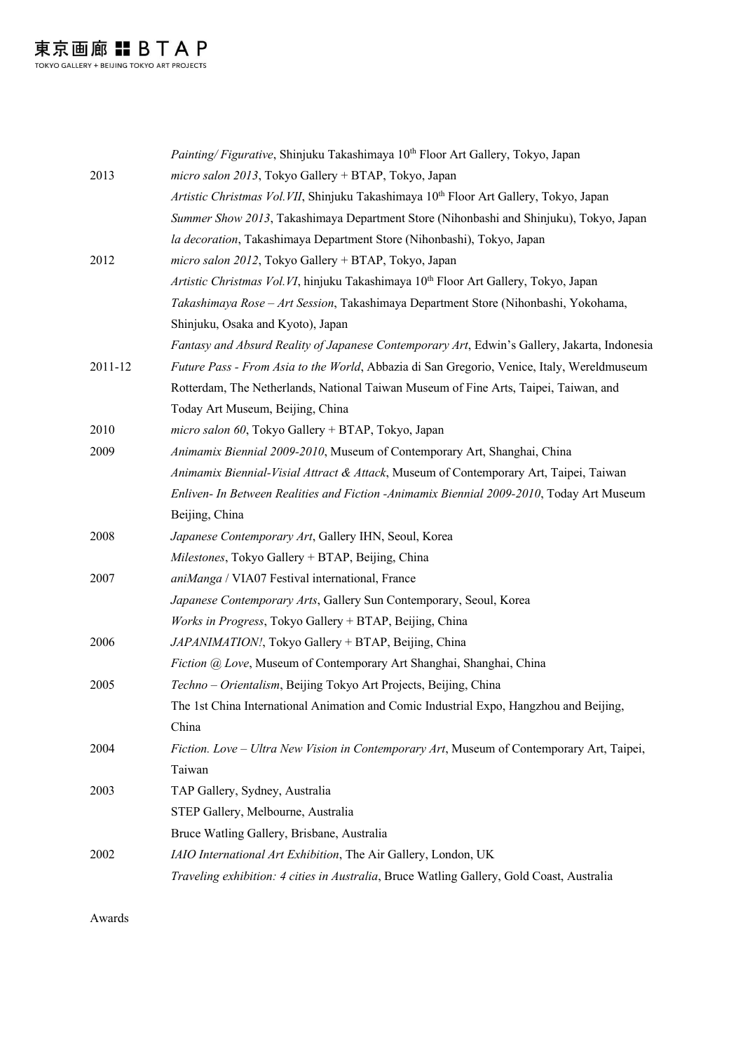|         | Painting/Figurative, Shinjuku Takashimaya 10th Floor Art Gallery, Tokyo, Japan                   |
|---------|--------------------------------------------------------------------------------------------------|
| 2013    | micro salon 2013, Tokyo Gallery + BTAP, Tokyo, Japan                                             |
|         | Artistic Christmas Vol. VII, Shinjuku Takashimaya 10th Floor Art Gallery, Tokyo, Japan           |
|         | Summer Show 2013, Takashimaya Department Store (Nihonbashi and Shinjuku), Tokyo, Japan           |
|         | la decoration, Takashimaya Department Store (Nihonbashi), Tokyo, Japan                           |
| 2012    | micro salon 2012, Tokyo Gallery + BTAP, Tokyo, Japan                                             |
|         | Artistic Christmas Vol. VI, hinjuku Takashimaya 10 <sup>th</sup> Floor Art Gallery, Tokyo, Japan |
|         | Takashimaya Rose - Art Session, Takashimaya Department Store (Nihonbashi, Yokohama,              |
|         | Shinjuku, Osaka and Kyoto), Japan                                                                |
|         | Fantasy and Absurd Reality of Japanese Contemporary Art, Edwin's Gallery, Jakarta, Indonesia     |
| 2011-12 | Future Pass - From Asia to the World, Abbazia di San Gregorio, Venice, Italy, Wereldmuseum       |
|         | Rotterdam, The Netherlands, National Taiwan Museum of Fine Arts, Taipei, Taiwan, and             |
|         | Today Art Museum, Beijing, China                                                                 |
| 2010    | micro salon 60, Tokyo Gallery + BTAP, Tokyo, Japan                                               |
| 2009    | Animamix Biennial 2009-2010, Museum of Contemporary Art, Shanghai, China                         |
|         | Animamix Biennial-Visial Attract & Attack, Museum of Contemporary Art, Taipei, Taiwan            |
|         | Enliven- In Between Realities and Fiction -Animamix Biennial 2009-2010, Today Art Museum         |
|         | Beijing, China                                                                                   |
| 2008    | Japanese Contemporary Art, Gallery IHN, Seoul, Korea                                             |
|         | Milestones, Tokyo Gallery + BTAP, Beijing, China                                                 |
| 2007    | aniManga / VIA07 Festival international, France                                                  |
|         | Japanese Contemporary Arts, Gallery Sun Contemporary, Seoul, Korea                               |
|         | Works in Progress, Tokyo Gallery + BTAP, Beijing, China                                          |
| 2006    | JAPANIMATION!, Tokyo Gallery + BTAP, Beijing, China                                              |
|         | Fiction @ Love, Museum of Contemporary Art Shanghai, Shanghai, China                             |
| 2005    | Techno - Orientalism, Beijing Tokyo Art Projects, Beijing, China                                 |
|         | The 1st China International Animation and Comic Industrial Expo, Hangzhou and Beijing,           |
|         | China                                                                                            |
| 2004    | Fiction. Love - Ultra New Vision in Contemporary Art, Museum of Contemporary Art, Taipei,        |
|         | Taiwan                                                                                           |
| 2003    | TAP Gallery, Sydney, Australia                                                                   |
|         | STEP Gallery, Melbourne, Australia                                                               |
|         | Bruce Watling Gallery, Brisbane, Australia                                                       |
| 2002    | IAIO International Art Exhibition, The Air Gallery, London, UK                                   |
|         | Traveling exhibition: 4 cities in Australia, Bruce Watling Gallery, Gold Coast, Australia        |
|         |                                                                                                  |

Awards